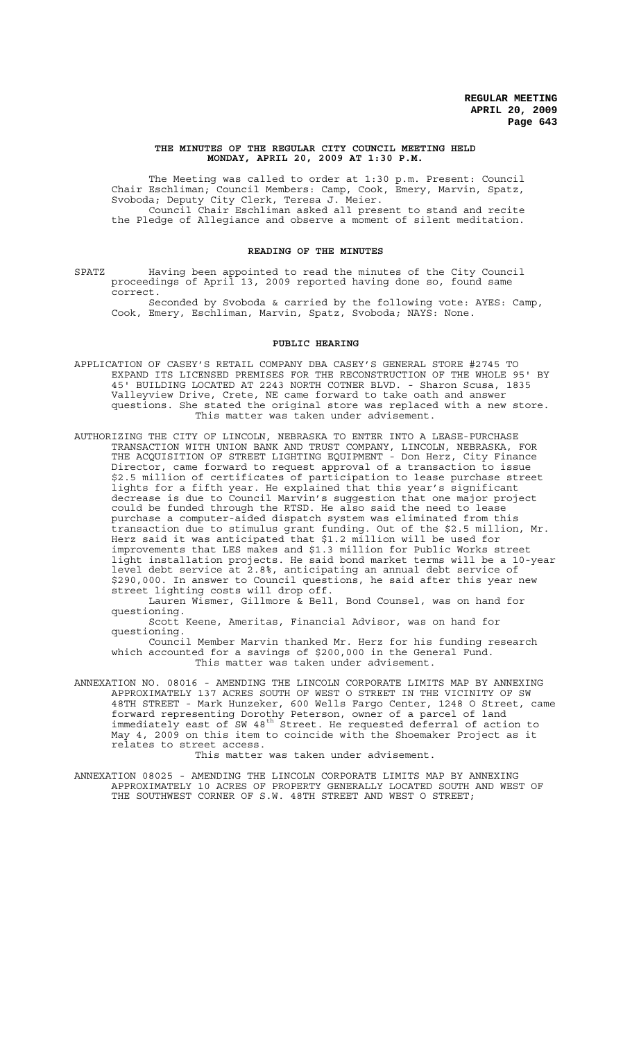#### **THE MINUTES OF THE REGULAR CITY COUNCIL MEETING HELD MONDAY, APRIL 20, 2009 AT 1:30 P.M.**

The Meeting was called to order at 1:30 p.m. Present: Council Chair Eschliman; Council Members: Camp, Cook, Emery, Marvin, Spatz, Svoboda; Deputy City Clerk, Teresa J. Meier. Council Chair Eschliman asked all present to stand and recite the Pledge of Allegiance and observe a moment of silent meditation.

## **READING OF THE MINUTES**

SPATZ Having been appointed to read the minutes of the City Council proceedings of April 13, 2009 reported having done so, found same correct.

Seconded by Svoboda & carried by the following vote: AYES: Camp, Cook, Emery, Eschliman, Marvin, Spatz, Svoboda; NAYS: None.

### **PUBLIC HEARING**

- APPLICATION OF CASEY'S RETAIL COMPANY DBA CASEY'S GENERAL STORE #2745 TO EXPAND ITS LICENSED PREMISES FOR THE RECONSTRUCTION OF THE WHOLE 95' BY 45' BUILDING LOCATED AT 2243 NORTH COTNER BLVD. - Sharon Scusa, 1835 Valleyview Drive, Crete, NE came forward to take oath and answer questions. She stated the original store was replaced with a new store. This matter was taken under advisement.
- AUTHORIZING THE CITY OF LINCOLN, NEBRASKA TO ENTER INTO A LEASE-PURCHASE TRANSACTION WITH UNION BANK AND TRUST COMPANY, LINCOLN, NEBRASKA, FOR THE ACQUISITION OF STREET LIGHTING EQUIPMENT - Don Herz, City Finance Director, came forward to request approval of a transaction to issue \$2.5 million of certificates of participation to lease purchase street lights for a fifth year. He explained that this year's significant decrease is due to Council Marvin's suggestion that one major project could be funded through the RTSD. He also said the need to lease purchase a computer-aided dispatch system was eliminated from this transaction due to stimulus grant funding. Out of the \$2.5 million, Mr. Herz said it was anticipated that \$1.2 million will be used for improvements that LES makes and \$1.3 million for Public Works street light installation projects. He said bond market terms will be a 10-year level debt service at 2.8%, anticipating an annual debt service of \$290,000. In answer to Council questions, he said after this year new street lighting costs will drop off.

Lauren Wismer, Gillmore & Bell, Bond Counsel, was on hand for questioning.

Scott Keene, Ameritas, Financial Advisor, was on hand for questioning.

Council Member Marvin thanked Mr. Herz for his funding research which accounted for a savings of \$200,000 in the General Fund. This matter was taken under advisement.

ANNEXATION NO. 08016 - AMENDING THE LINCOLN CORPORATE LIMITS MAP BY ANNEXING APPROXIMATELY 137 ACRES SOUTH OF WEST O STREET IN THE VICINITY OF SW 48TH STREET - Mark Hunzeker, 600 Wells Fargo Center, 1248 O Street, came forward representing Dorothy Peterson, owner of a parcel of land immediately east of SW 48<sup>th</sup> Street. He requested deferral of action to May 4, 2009 on this item to coincide with the Shoemaker Project as it relates to street access.

This matter was taken under advisement.

ANNEXATION 08025 - AMENDING THE LINCOLN CORPORATE LIMITS MAP BY ANNEXING APPROXIMATELY 10 ACRES OF PROPERTY GENERALLY LOCATED SOUTH AND WEST OF THE SOUTHWEST CORNER OF S.W. 48TH STREET AND WEST O STREET;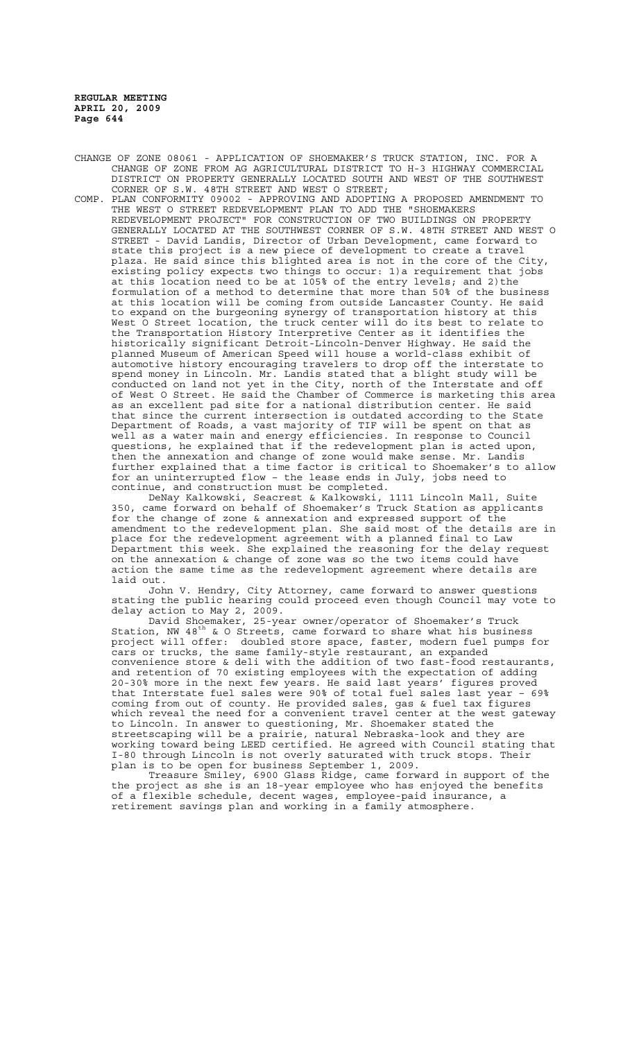CHANGE OF ZONE 08061 - APPLICATION OF SHOEMAKER'S TRUCK STATION, INC. FOR A CHANGE OF ZONE FROM AG AGRICULTURAL DISTRICT TO H-3 HIGHWAY COMMERCIAL DISTRICT ON PROPERTY GENERALLY LOCATED SOUTH AND WEST OF THE SOUTHWEST CORNER OF S.W. 48TH STREET AND WEST O STREET;

COMP. PLAN CONFORMITY 09002 - APPROVING AND ADOPTING A PROPOSED AMENDMENT TO THE WEST O STREET REDEVELOPMENT PLAN TO ADD THE "SHOEMAKERS REDEVELOPMENT PROJECT" FOR CONSTRUCTION OF TWO BUILDINGS ON PROPERTY GENERALLY LOCATED AT THE SOUTHWEST CORNER OF S.W. 48TH STREET AND WEST O STREET - David Landis, Director of Urban Development, came forward to state this project is a new piece of development to create a travel plaza. He said since this blighted area is not in the core of the City, .<br>existing policy expects two things to occur: 1)a requirement that jobs at this location need to be at 105% of the entry levels; and 2) the formulation of a method to determine that more than 50% of the business at this location will be coming from outside Lancaster County. He said to expand on the burgeoning synergy of transportation history at this West O Street location, the truck center will do its best to relate to the Transportation History Interpretive Center as it identifies the historically significant Detroit-Lincoln-Denver Highway. He said the planned Museum of American Speed will house a world-class exhibit of automotive history encouraging travelers to drop off the interstate to spend money in Lincoln. Mr. Landis stated that a blight study will be conducted on land not yet in the City, north of the Interstate and off of West O Street. He said the Chamber of Commerce is marketing this area as an excellent pad site for a national distribution center. He said that since the current intersection is outdated according to the State Department of Roads, a vast majority of TIF will be spent on that as well as a water main and energy efficiencies. In response to Council questions, he explained that if the redevelopment plan is acted upon, then the annexation and change of zone would make sense. Mr. Landis further explained that a time factor is critical to Shoemaker's to allow for an uninterrupted flow – the lease ends in July, jobs need to continue, and construction must be completed.

DeNay Kalkowski, Seacrest & Kalkowski, 1111 Lincoln Mall, Suite 350, came forward on behalf of Shoemaker's Truck Station as applicants for the change of zone & annexation and expressed support of the amendment to the redevelopment plan. She said most of the details are in place for the redevelopment agreement with a planned final to Law Department this week. She explained the reasoning for the delay request on the annexation & change of zone was so the two items could have action the same time as the redevelopment agreement where details are laid out.

John V. Hendry, City Attorney, came forward to answer questions stating the public hearing could proceed even though Council may vote to delay action to May 2, 2009.

David Shoemaker, 25-year owner/operator of Shoemaker's Truck Station, NW 48<sup>th</sup> & O Streets, came forward to share what his business Station, NW  $48^{\text{th}}$  & O Streets, came forward to share what his business project will offer: doubled store space, faster, modern fuel pumps for cars or trucks, the same family-style restaurant, an expanded convenience store & deli with the addition of two fast-food restaurants, and retention of 70 existing employees with the expectation of adding 20-30% more in the next few years. He said last years' figures proved that Interstate fuel sales were 90% of total fuel sales last year – 69% coming from out of county. He provided sales, gas & fuel tax figures which reveal the need for a convenient travel center at the west gateway to Lincoln. In answer to questioning, Mr. Shoemaker stated the streetscaping will be a prairie, natural Nebraska-look and they are working toward being LEED certified. He agreed with Council stating that I-80 through Lincoln is not overly saturated with truck stops. Their plan is to be open for business September 1, 2009.

Treasure Smiley, 6900 Glass Ridge, came forward in support of the the project as she is an 18-year employee who has enjoyed the benefits of a flexible schedule, decent wages, employee-paid insurance, a retirement savings plan and working in a family atmosphere.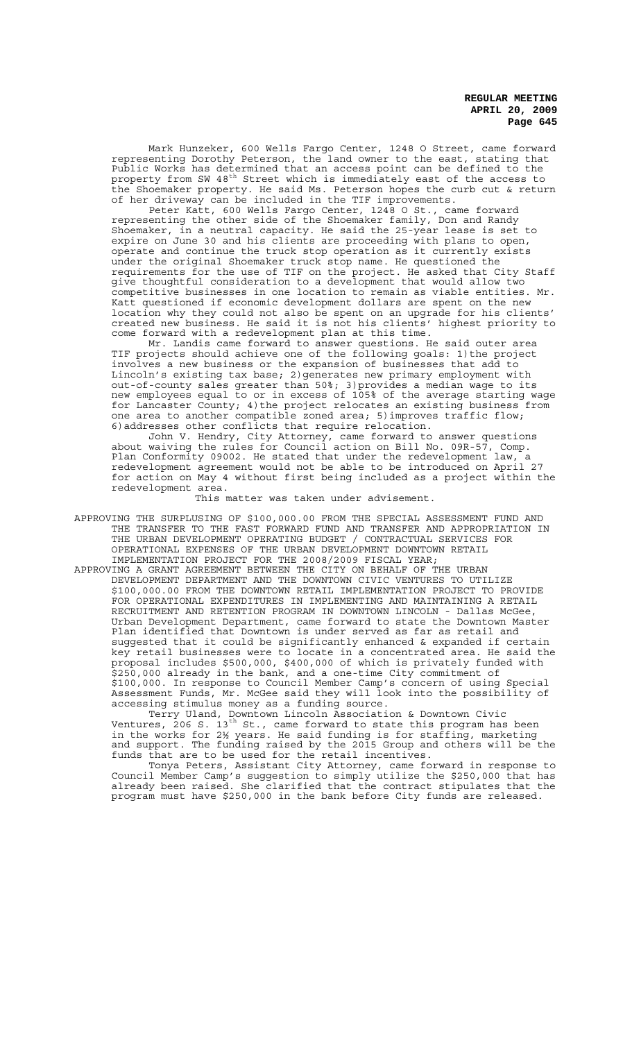Mark Hunzeker, 600 Wells Fargo Center, 1248 O Street, came forward representing Dorothy Peterson, the land owner to the east, stating that Public Works has determined that an access point can be defined to the property from SW 48<sup>th</sup> Street which is immediately east of the access to the Shoemaker property. He said Ms. Peterson hopes the curb cut & return of her driveway can be included in the TIF improvements.

Peter Katt, 600 Wells Fargo Center, 1248 O St., came forward representing the other side of the Shoemaker family, Don and Randy Shoemaker, in a neutral capacity. He said the 25-year lease is set to expire on June 30 and his clients are proceeding with plans to open, operate and continue the truck stop operation as it currently exists under the original Shoemaker truck stop name. He questioned the requirements for the use of TIF on the project. He asked that City Staff give thoughtful consideration to a development that would allow two competitive businesses in one location to remain as viable entities. Mr. Katt questioned if economic development dollars are spent on the new location why they could not also be spent on an upgrade for his clients' created new business. He said it is not his clients' highest priority to come forward with a redevelopment plan at this time.

Mr. Landis came forward to answer questions. He said outer area TIF projects should achieve one of the following goals: 1)the project involves a new business or the expansion of businesses that add to Lincoln's existing tax base; 2)generates new primary employment with out-of-county sales greater than 50%; 3)provides a median wage to its new employees equal to or in excess of 105% of the average starting wage for Lancaster County; 4) the project relocates an existing business from one area to another compatible zoned area; 5)improves traffic flow; 6)addresses other conflicts that require relocation.

John V. Hendry, City Attorney, came forward to answer questions about waiving the rules for Council action on Bill No. 09R-57, Comp. Plan Conformity 09002. He stated that under the redevelopment law, a redevelopment agreement would not be able to be introduced on April 27 for action on May 4 without first being included as a project within the redevelopment area.

This matter was taken under advisement.

- APPROVING THE SURPLUSING OF \$100,000.00 FROM THE SPECIAL ASSESSMENT FUND AND THE TRANSFER TO THE FAST FORWARD FUND AND TRANSFER AND APPROPRIATION IN THE URBAN DEVELOPMENT OPERATING BUDGET / CONTRACTUAL SERVICES FOR OPERATIONAL EXPENSES OF THE URBAN DEVELOPMENT DOWNTOWN RETAIL IMPLEMENTATION PROJECT FOR THE 2008/2009 FISCAL YEAR;
- APPROVING A GRANT AGREEMENT BETWEEN THE CITY ON BEHALF OF THE URBAN DEVELOPMENT DEPARTMENT AND THE DOWNTOWN CIVIC VENTURES TO UTILIZE \$100,000.00 FROM THE DOWNTOWN RETAIL IMPLEMENTATION PROJECT TO PROVIDE FOR OPERATIONAL EXPENDITURES IN IMPLEMENTING AND MAINTAINING A RETAIL RECRUITMENT AND RETENTION PROGRAM IN DOWNTOWN LINCOLN - Dallas McGee, Urban Development Department, came forward to state the Downtown Master Plan identified that Downtown is under served as far as retail and suggested that it could be significantly enhanced & expanded if certain key retail businesses were to locate in a concentrated area. He said the proposal includes \$500,000, \$400,000 of which is privately funded with \$250,000 already in the bank, and a one-time City commitment of \$100,000. In response to Council Member Camp's concern of using Special Assessment Funds, Mr. McGee said they will look into the possibility of accessing stimulus money as a funding source.

Terry Uland, Downtown Lincoln Association & Downtown Civic Ventures, 206 S.  $13^\text{th}$  St., came forward to state this program has been in the works for 2½ years. He said funding is for staffing, marketing and support. The funding raised by the 2015 Group and others will be the funds that are to be used for the retail incentives.

Tonya Peters, Assistant City Attorney, came forward in response to Council Member Camp's suggestion to simply utilize the \$250,000 that has already been raised. She clarified that the contract stipulates that the program must have \$250,000 in the bank before City funds are released.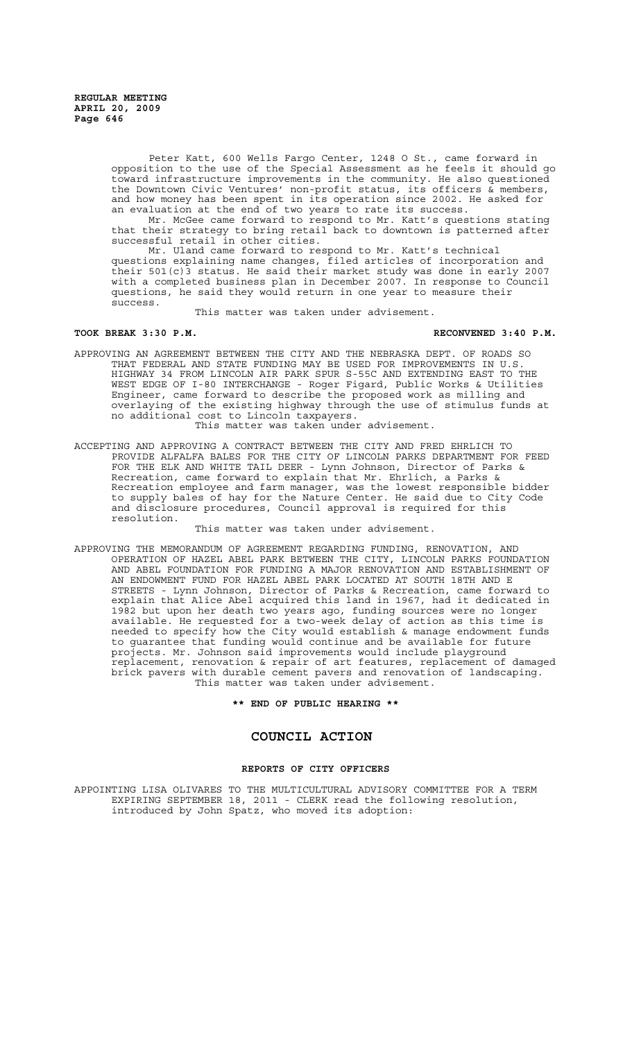> Peter Katt, 600 Wells Fargo Center, 1248 O St., came forward in opposition to the use of the Special Assessment as he feels it should go toward infrastructure improvements in the community. He also questioned the Downtown Civic Ventures' non-profit status, its officers & members, and how money has been spent in its operation since 2002. He asked for an evaluation at the end of two years to rate its success.

Mr. McGee came forward to respond to Mr. Katt's questions stating that their strategy to bring retail back to downtown is patterned after successful retail in other cities.

Mr. Uland came forward to respond to Mr. Katt's technical questions explaining name changes, filed articles of incorporation and their 501(c)3 status. He said their market study was done in early 2007 with a completed business plan in December 2007. In response to Council questions, he said they would return in one year to measure their success.

This matter was taken under advisement.

### **TOOK BREAK 3:30 P.M. RECONVENED 3:40 P.M.**

APPROVING AN AGREEMENT BETWEEN THE CITY AND THE NEBRASKA DEPT. OF ROADS SO THAT FEDERAL AND STATE FUNDING MAY BE USED FOR IMPROVEMENTS IN U.S. HIGHWAY 34 FROM LINCOLN AIR PARK SPUR S-55C AND EXTENDING EAST TO THE WEST EDGE OF I-80 INTERCHANGE - Roger Figard, Public Works & Utilities Engineer, came forward to describe the proposed work as milling and overlaying of the existing highway through the use of stimulus funds at no additional cost to Lincoln taxpayers.

## This matter was taken under advisement.

ACCEPTING AND APPROVING A CONTRACT BETWEEN THE CITY AND FRED EHRLICH TO PROVIDE ALFALFA BALES FOR THE CITY OF LINCOLN PARKS DEPARTMENT FOR FEED FOR THE ELK AND WHITE TAIL DEER - Lynn Johnson, Director of Parks & Recreation, came forward to explain that Mr. Ehrlich, a Parks & Recreation employee and farm manager, was the lowest responsible bidder to supply bales of hay for the Nature Center. He said due to City Code and disclosure procedures, Council approval is required for this resolution.

This matter was taken under advisement.

APPROVING THE MEMORANDUM OF AGREEMENT REGARDING FUNDING, RENOVATION, AND OPERATION OF HAZEL ABEL PARK BETWEEN THE CITY, LINCOLN PARKS FOUNDATION AND ABEL FOUNDATION FOR FUNDING A MAJOR RENOVATION AND ESTABLISHMENT OF AN ENDOWMENT FUND FOR HAZEL ABEL PARK LOCATED AT SOUTH 18TH AND E STREETS - Lynn Johnson, Director of Parks & Recreation, came forward to explain that Alice Abel acquired this land in 1967, had it dedicated in 1982 but upon her death two years ago, funding sources were no longer available. He requested for a two-week delay of action as this time is needed to specify how the City would establish & manage endowment funds to guarantee that funding would continue and be available for future projects. Mr. Johnson said improvements would include playground replacement, renovation & repair of art features, replacement of damaged brick pavers with durable cement pavers and renovation of landscaping. This matter was taken under advisement.

**\*\* END OF PUBLIC HEARING \*\***

### **COUNCIL ACTION**

### **REPORTS OF CITY OFFICERS**

APPOINTING LISA OLIVARES TO THE MULTICULTURAL ADVISORY COMMITTEE FOR A TERM EXPIRING SEPTEMBER 18, 2011 - CLERK read the following resolution, introduced by John Spatz, who moved its adoption: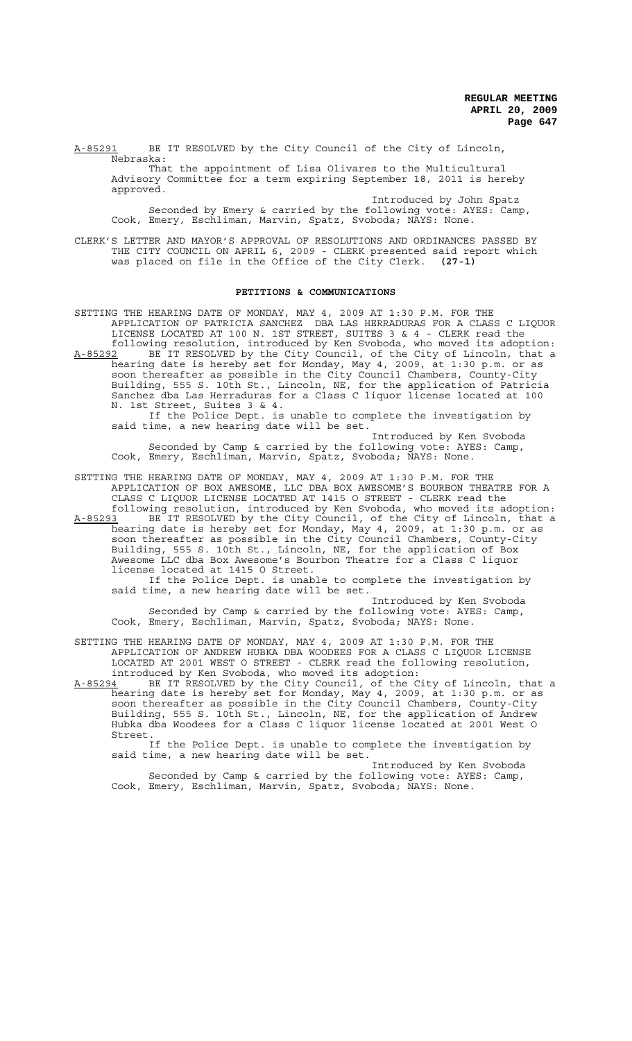A-85291 BE IT RESOLVED by the City Council of the City of Lincoln, Nebraska:

That the appointment of Lisa Olivares to the Multicultural Advisory Committee for a term expiring September 18, 2011 is hereby approved.

Introduced by John Spatz Seconded by Emery & carried by the following vote: AYES: Camp, Cook, Emery, Eschliman, Marvin, Spatz, Svoboda; NAYS: None.

CLERK'S LETTER AND MAYOR'S APPROVAL OF RESOLUTIONS AND ORDINANCES PASSED BY THE CITY COUNCIL ON APRIL 6, 2009 - CLERK presented said report which was placed on file in the Office of the City Clerk. **(27-1)**

#### **PETITIONS & COMMUNICATIONS**

SETTING THE HEARING DATE OF MONDAY, MAY 4, 2009 AT 1:30 P.M. FOR THE APPLICATION OF PATRICIA SANCHEZ DBA LAS HERRADURAS FOR A CLASS C LIQUOR LICENSE LOCATED AT 100 N. 1ST STREET, SUITES 3 & 4 - CLERK read the following resolution, introduced by Ken Svoboda, who moved its adoption: A-85292 BE IT RESOLVED by the City Council, of the City of Lincoln, that a hearing date is hereby set for Monday, May 4, 2009, at 1:30 p.m. or as soon thereafter as possible in the City Council Chambers, County-City Building, 555 S. 10th St., Lincoln, NE, for the application of Patricia Sanchez dba Las Herraduras for a Class C liquor license located at 100 N. 1st Street, Suites 3 & 4. If the Police Dept. is unable to complete the investigation by said time, a new hearing date will be set.

Introduced by Ken Svoboda Seconded by Camp & carried by the following vote: AYES: Camp, Cook, Emery, Eschliman, Marvin, Spatz, Svoboda; NAYS: None.

SETTING THE HEARING DATE OF MONDAY, MAY 4, 2009 AT 1:30 P.M. FOR THE APPLICATION OF BOX AWESOME, LLC DBA BOX AWESOME'S BOURBON THEATRE FOR A CLASS C LIQUOR LICENSE LOCATED AT 1415 O STREET - CLERK read the following resolution, introduced by Ken Svoboda, who moved its adoption:

A-85293 BE IT RESOLVED by the City Council, of the City of Lincoln, that a hearing date is hereby set for Monday, May 4, 2009, at 1:30 p.m. or as soon thereafter as possible in the City Council Chambers, County-City Building, 555 S. 10th St., Lincoln, NE, for the application of Box Awesome LLC dba Box Awesome's Bourbon Theatre for a Class C liquor license located at 1415 O Street.

If the Police Dept. is unable to complete the investigation by said time, a new hearing date will be set.

Introduced by Ken Svoboda Seconded by Camp & carried by the following vote: AYES: Camp, Cook, Emery, Eschliman, Marvin, Spatz, Svoboda; NAYS: None.

SETTING THE HEARING DATE OF MONDAY, MAY 4, 2009 AT 1:30 P.M. FOR THE APPLICATION OF ANDREW HUBKA DBA WOODEES FOR A CLASS C LIQUOR LICENSE LOCATED AT 2001 WEST O STREET - CLERK read the following resolution, introduced by Ken Svoboda, who moved its adoption:<br>A-85294 BE IT RESOLVED by the City Council, of the C

BE IT RESOLVED by the City Council, of the City of Lincoln, that a hearing date is hereby set for Monday, May 4, 2009, at 1:30 p.m. or as soon thereafter as possible in the City Council Chambers, County-City Building, 555 S. 10th St., Lincoln, NE, for the application of Andrew Hubka dba Woodees for a Class C liquor license located at 2001 West O Street.

If the Police Dept. is unable to complete the investigation by said time, a new hearing date will be set.

Introduced by Ken Svoboda Seconded by Camp & carried by the following vote: AYES: Camp, Cook, Emery, Eschliman, Marvin, Spatz, Svoboda; NAYS: None.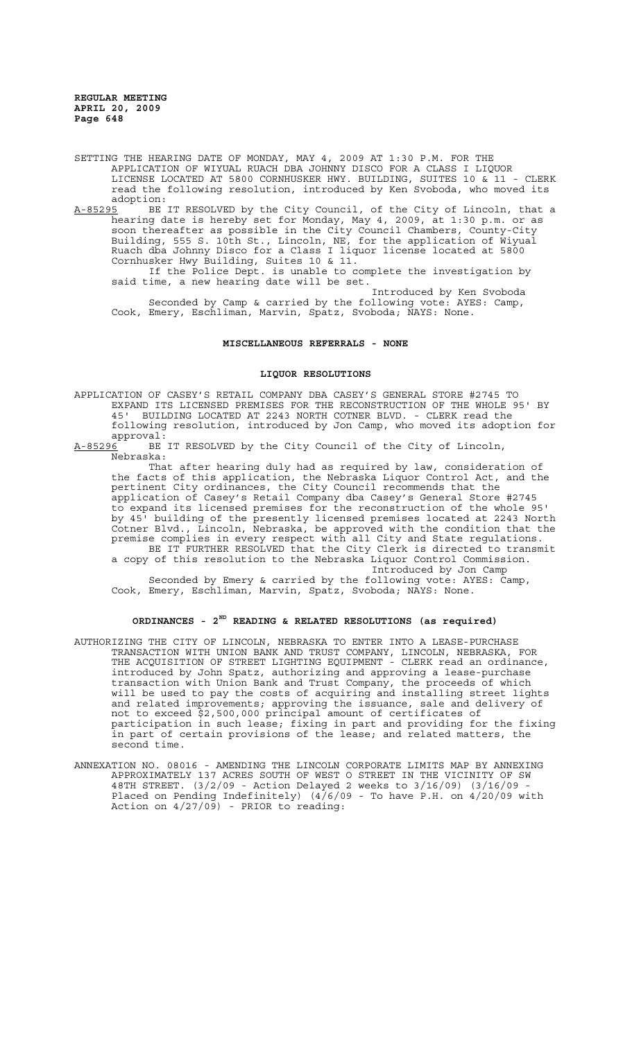SETTING THE HEARING DATE OF MONDAY, MAY 4, 2009 AT 1:30 P.M. FOR THE APPLICATION OF WIYUAL RUACH DBA JOHNNY DISCO FOR A CLASS I LIQUOR LICENSE LOCATED AT 5800 CORNHUSKER HWY. BUILDING, SUITES 10 & 11 - CLERK read the following resolution, introduced by Ken Svoboda, who moved its adoption:<br><u>A-85295</u> BE

A-85295 BE IT RESOLVED by the City Council, of the City of Lincoln, that a hearing date is hereby set for Monday, May 4, 2009, at 1:30 p.m. or as soon thereafter as possible in the City Council Chambers, County-City Building, 555 S. 10th St., Lincoln, NE, for the application of Wiyual Ruach dba Johnny Disco for a Class I liquor license located at 5800 Cornhusker Hwy Building, Suites 10 & 11.

If the Police Dept. is unable to complete the investigation by said time, a new hearing date will be set.

Introduced by Ken Svoboda Seconded by Camp & carried by the following vote: AYES: Camp, Cook, Emery, Eschliman, Marvin, Spatz, Svoboda; NAYS: None.

**MISCELLANEOUS REFERRALS - NONE**

#### **LIQUOR RESOLUTIONS**

APPLICATION OF CASEY'S RETAIL COMPANY DBA CASEY'S GENERAL STORE #2745 TO EXPAND ITS LICENSED PREMISES FOR THE RECONSTRUCTION OF THE WHOLE 95' BY 45' BUILDING LOCATED AT 2243 NORTH COTNER BLVD. - CLERK read the following resolution, introduced by Jon Camp, who moved its adoption for approval:<br><u>A-85296</u> BE

BE IT RESOLVED by the City Council of the City of Lincoln, Nebraska:

That after hearing duly had as required by law, consideration of the facts of this application, the Nebraska Liquor Control Act, and the pertinent City ordinances, the City Council recommends that the application of Casey's Retail Company dba Casey's General Store #2745 to expand its licensed premises for the reconstruction of the whole 95' by 45' building of the presently licensed premises located at 2243 North Cotner Blvd., Lincoln, Nebraska, be approved with the condition that the premise complies in every respect with all City and State regulations. BE IT FURTHER RESOLVED that the City Clerk is directed to transmit

a copy of this resolution to the Nebraska Liquor Control Commission. Introduced by Jon Camp

Seconded by Emery & carried by the following vote: AYES: Camp, Cook, Emery, Eschliman, Marvin, Spatz, Svoboda; NAYS: None.

### **ORDINANCES - 2ND READING & RELATED RESOLUTIONS (as required)**

- AUTHORIZING THE CITY OF LINCOLN, NEBRASKA TO ENTER INTO A LEASE-PURCHASE TRANSACTION WITH UNION BANK AND TRUST COMPANY, LINCOLN, NEBRASKA, FOR THE ACQUISITION OF STREET LIGHTING EQUIPMENT - CLERK read an ordinance, introduced by John Spatz, authorizing and approving a lease-purchase transaction with Union Bank and Trust Company, the proceeds of which will be used to pay the costs of acquiring and installing street lights and related improvements; approving the issuance, sale and delivery of not to exceed \$2,500,000 principal amount of certificates of participation in such lease; fixing in part and providing for the fixing in part of certain provisions of the lease; and related matters, the second time.
- ANNEXATION NO. 08016 AMENDING THE LINCOLN CORPORATE LIMITS MAP BY ANNEXING APPROXIMATELY 137 ACRES SOUTH OF WEST O STREET IN THE VICINITY OF SW 48TH STREET. (3/2/09 - Action Delayed 2 weeks to 3/16/09) (3/16/09 - Placed on Pending Indefinitely) (4/6/09 - To have P.H. on 4/20/09 with Action on 4/27/09) - PRIOR to reading: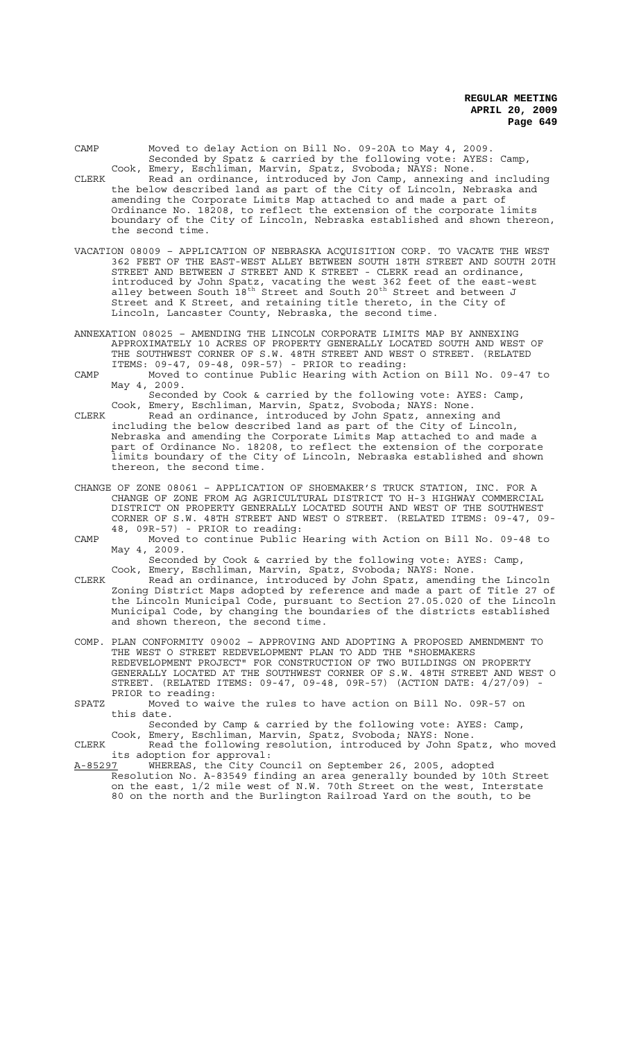CAMP Moved to delay Action on Bill No. 09-20A to May 4, 2009. Seconded by Spatz & carried by the following vote: AYES: Camp, Cook, Emery, Eschliman, Marvin, Spatz, Svoboda; NAYS: None.

- CLERK Read an ordinance, introduced by Jon Camp, annexing and including the below described land as part of the City of Lincoln, Nebraska and amending the Corporate Limits Map attached to and made a part of Ordinance No. 18208, to reflect the extension of the corporate limits boundary of the City of Lincoln, Nebraska established and shown thereon, the second time.
- VACATION 08009 APPLICATION OF NEBRASKA ACQUISITION CORP. TO VACATE THE WEST 362 FEET OF THE EAST-WEST ALLEY BETWEEN SOUTH 18TH STREET AND SOUTH 20TH STREET AND BETWEEN J STREET AND K STREET - CLERK read an ordinance, introduced by John Spatz, vacating the west 362 feet of the east-west alley between South  $18^{\text{th}}$  Street and South 20<sup>th</sup> Street and between J Street and K Street, and retaining title thereto, in the City of Lincoln, Lancaster County, Nebraska, the second time.
- ANNEXATION 08025 AMENDING THE LINCOLN CORPORATE LIMITS MAP BY ANNEXING APPROXIMATELY 10 ACRES OF PROPERTY GENERALLY LOCATED SOUTH AND WEST OF THE SOUTHWEST CORNER OF S.W. 48TH STREET AND WEST O STREET. (RELATED ITEMS: 09-47, 09-48, 09R-57) - PRIOR to reading:
- CAMP Moved to continue Public Hearing with Action on Bill No. 09-47 to May 4, 2009.

Seconded by Cook & carried by the following vote: AYES: Camp, Cook, Emery, Eschliman, Marvin, Spatz, Svoboda; NAYS: None.

CLERK Read an ordinance, introduced by John Spatz, annexing and including the below described land as part of the City of Lincoln, Nebraska and amending the Corporate Limits Map attached to and made a part of Ordinance No. 18208, to reflect the extension of the corporate limits boundary of the City of Lincoln, Nebraska established and shown thereon, the second time.

- CHANGE OF ZONE 08061 APPLICATION OF SHOEMAKER'S TRUCK STATION, INC. FOR A CHANGE OF ZONE FROM AG AGRICULTURAL DISTRICT TO H-3 HIGHWAY COMMERCIAL DISTRICT ON PROPERTY GENERALLY LOCATED SOUTH AND WEST OF THE SOUTHWEST CORNER OF S.W. 48TH STREET AND WEST O STREET. (RELATED ITEMS: 09-47, 09- 48, 09R-57) - PRIOR to reading:
- CAMP Moved to continue Public Hearing with Action on Bill No. 09-48 to May 4, 2009.

Seconded by Cook & carried by the following vote: AYES: Camp, Cook, Emery, Eschliman, Marvin, Spatz, Svoboda; NAYS: None.

CLERK Read an ordinance, introduced by John Spatz, amending the Lincoln Zoning District Maps adopted by reference and made a part of Title 27 of the Lincoln Municipal Code, pursuant to Section 27.05.020 of the Lincoln Municipal Code, by changing the boundaries of the districts established and shown thereon, the second time.

COMP. PLAN CONFORMITY 09002 – APPROVING AND ADOPTING A PROPOSED AMENDMENT TO THE WEST O STREET REDEVELOPMENT PLAN TO ADD THE "SHOEMAKERS REDEVELOPMENT PROJECT" FOR CONSTRUCTION OF TWO BUILDINGS ON PROPERTY GENERALLY LOCATED AT THE SOUTHWEST CORNER OF S.W. 48TH STREET AND WEST O STREET. (RELATED ITEMS: 09-47, 09-48, 09R-57) (ACTION DATE: 4/27/09) - PRIOR to reading:

SPATZ Moved to waive the rules to have action on Bill No. 09R-57 on this date.

Seconded by Camp & carried by the following vote: AYES: Camp, Cook, Emery, Eschliman, Marvin, Spatz, Svoboda; NAYS: None.

CLERK Read the following resolution, introduced by John Spatz, who moved its adoption for approval:<br>A-85297 WHEREAS, the City Co

A-85297 WHEREAS, the City Council on September 26, 2005, adopted Resolution No. A-83549 finding an area generally bounded by 10th Street on the east, 1/2 mile west of N.W. 70th Street on the west, Interstate 80 on the north and the Burlington Railroad Yard on the south, to be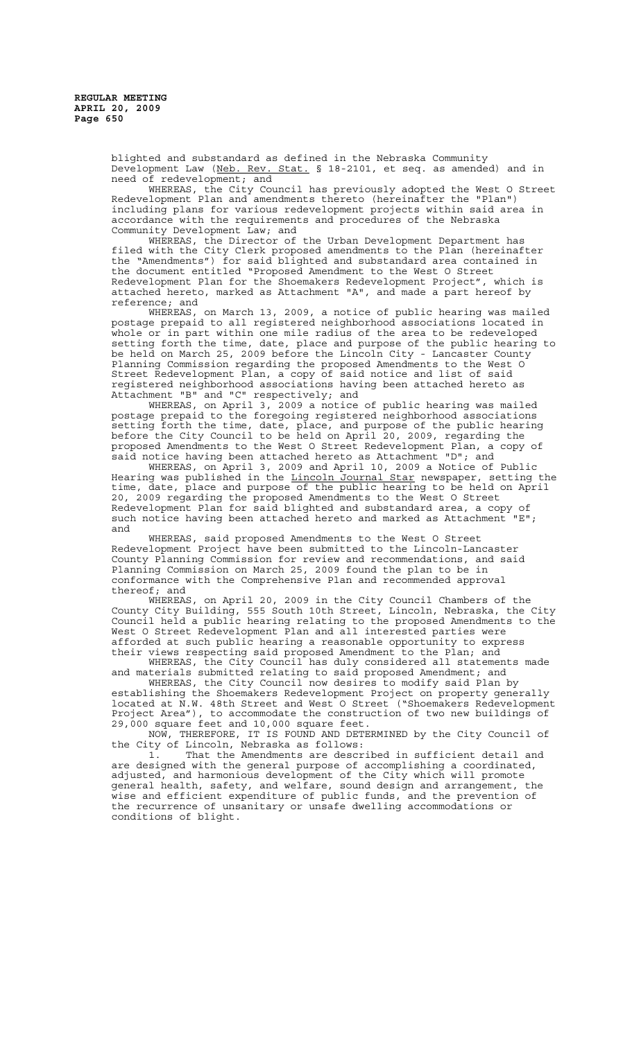blighted and substandard as defined in the Nebraska Community Development Law (Neb. Rev. Stat. § 18-2101, et seq. as amended) and in need of redevelopment; and

WHEREAS, the City Council has previously adopted the West O Street Redevelopment Plan and amendments thereto (hereinafter the "Plan") including plans for various redevelopment projects within said area in accordance with the requirements and procedures of the Nebraska Community Development Law; and

WHEREAS, the Director of the Urban Development Department has filed with the City Clerk proposed amendments to the Plan (hereinafter the "Amendments") for said blighted and substandard area contained in the document entitled "Proposed Amendment to the West O Street Redevelopment Plan for the Shoemakers Redevelopment Project", which is attached hereto, marked as Attachment "A", and made a part hereof by reference; and

WHEREAS, on March 13, 2009, a notice of public hearing was mailed postage prepaid to all registered neighborhood associations located in whole or in part within one mile radius of the area to be redeveloped setting forth the time, date, place and purpose of the public hearing to be held on March 25, 2009 before the Lincoln City - Lancaster County Planning Commission regarding the proposed Amendments to the West O Street Redevelopment Plan, a copy of said notice and list of said registered neighborhood associations having been attached hereto as Attachment "B" and "C" respectively; and

WHEREAS, on April 3, 2009 a notice of public hearing was mailed postage prepaid to the foregoing registered neighborhood associations setting forth the time, date, place, and purpose of the public hearing before the City Council to be held on April 20, 2009, regarding the proposed Amendments to the West O Street Redevelopment Plan, a copy of said notice having been attached hereto as Attachment "D"; and

WHEREAS, on April 3, 2009 and April 10, 2009 a Notice of Public<br>NHEREAS, on April 3, 2009 and April 10, 2009 a Notice of Public<br>Ig was published in the <u>Lincoln Journal Star</u> newspaper, setting the Hearing was published in the <u>Lincoln Journal Star</u> newspaper, setting the time, date, place and purpose of the public hearing to be held on April 20, 2009 regarding the proposed Amendments to the West O Street Redevelopment Plan for said blighted and substandard area, a copy of such notice having been attached hereto and marked as Attachment "E"; and

WHEREAS, said proposed Amendments to the West O Street Redevelopment Project have been submitted to the Lincoln-Lancaster County Planning Commission for review and recommendations, and said Planning Commission on March 25, 2009 found the plan to be in conformance with the Comprehensive Plan and recommended approval thereof; and

WHEREAS, on April 20, 2009 in the City Council Chambers of the County City Building, 555 South 10th Street, Lincoln, Nebraska, the City Council held a public hearing relating to the proposed Amendments to the West O Street Redevelopment Plan and all interested parties were afforded at such public hearing a reasonable opportunity to express their views respecting said proposed Amendment to the Plan; and

WHEREAS, the City Council has duly considered all statements made and materials submitted relating to said proposed Amendment; and

WHEREAS, the City Council now desires to modify said Plan by establishing the Shoemakers Redevelopment Project on property generally located at N.W. 48th Street and West O Street ("Shoemakers Redevelopment Project Area"), to accommodate the construction of two new buildings of 29,000 square feet and 10,000 square feet.

NOW, THEREFORE, IT IS FOUND AND DETERMINED by the City Council of the City of Lincoln, Nebraska as follows:

1. That the Amendments are described in sufficient detail and are designed with the general purpose of accomplishing a coordinated, adjusted, and harmonious development of the City which will promote general health, safety, and welfare, sound design and arrangement, the wise and efficient expenditure of public funds, and the prevention of the recurrence of unsanitary or unsafe dwelling accommodations or conditions of blight.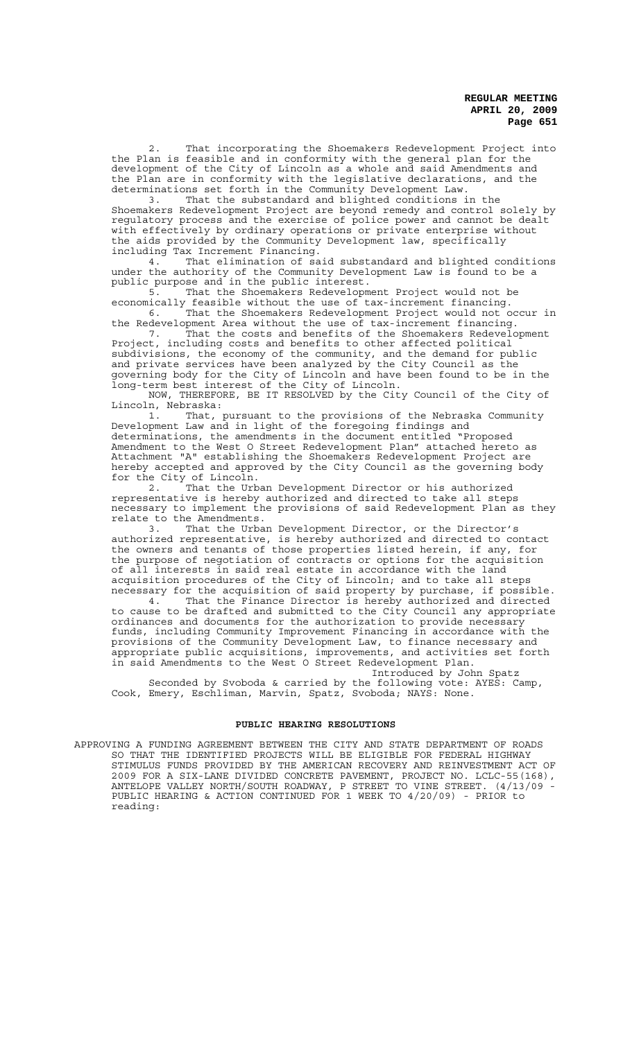That incorporating the Shoemakers Redevelopment Project into the Plan is feasible and in conformity with the general plan for the development of the City of Lincoln as a whole and said Amendments and the Plan are in conformity with the legislative declarations, and the determinations set forth in the Community Development Law.<br>3. That the substandard and blighted conditions i

That the substandard and blighted conditions in the Shoemakers Redevelopment Project are beyond remedy and control solely by regulatory process and the exercise of police power and cannot be dealt with effectively by ordinary operations or private enterprise without the aids provided by the Community Development law, specifically including Tax Increment Financing.

4. That elimination of said substandard and blighted conditions under the authority of the Community Development Law is found to be a public purpose and in the public interest.

5. That the Shoemakers Redevelopment Project would not be economically feasible without the use of tax-increment financing. 6. That the Shoemakers Redevelopment Project would not occur in

the Redevelopment Area without the use of tax-increment financing.<br>7. That the costs and benefits of the Shoemakers Redevelopment 7. That the costs and benefits of the Shoemakers Redevelopment

Project, including costs and benefits to other affected political subdivisions, the economy of the community, and the demand for public and private services have been analyzed by the City Council as the governing body for the City of Lincoln and have been found to be in the long-term best interest of the City of Lincoln.

NOW, THEREFORE, BE IT RESOLVED by the City Council of the City of Lincoln, Nebraska:

1. That, pursuant to the provisions of the Nebraska Community Development Law and in light of the foregoing findings and determinations, the amendments in the document entitled "Proposed Amendment to the West O Street Redevelopment Plan" attached hereto as Attachment "A" establishing the Shoemakers Redevelopment Project are hereby accepted and approved by the City Council as the governing body for the City of Lincoln.

2. That the Urban Development Director or his authorized representative is hereby authorized and directed to take all steps necessary to implement the provisions of said Redevelopment Plan as they relate to the Amendments.

3. That the Urban Development Director, or the Director's authorized representative, is hereby authorized and directed to contact the owners and tenants of those properties listed herein, if any, for the purpose of negotiation of contracts or options for the acquisition of all interests in said real estate in accordance with the land acquisition procedures of the City of Lincoln; and to take all steps necessary for the acquisition of said property by purchase, if possible.

4. That the Finance Director is hereby authorized and directed to cause to be drafted and submitted to the City Council any appropriate ordinances and documents for the authorization to provide necessary funds, including Community Improvement Financing in accordance with the provisions of the Community Development Law, to finance necessary and appropriate public acquisitions, improvements, and activities set forth in said Amendments to the West O Street Redevelopment Plan.

Introduced by John Spatz Seconded by Svoboda & carried by the following vote: AYES: Camp, Cook, Emery, Eschliman, Marvin, Spatz, Svoboda; NAYS: None.

### **PUBLIC HEARING RESOLUTIONS**

APPROVING A FUNDING AGREEMENT BETWEEN THE CITY AND STATE DEPARTMENT OF ROADS SO THAT THE IDENTIFIED PROJECTS WILL BE ELIGIBLE FOR FEDERAL HIGHWAY STIMULUS FUNDS PROVIDED BY THE AMERICAN RECOVERY AND REINVESTMENT ACT OF 2009 FOR A SIX-LANE DIVIDED CONCRETE PAVEMENT, PROJECT NO. LCLC-55(168), ANTELOPE VALLEY NORTH/SOUTH ROADWAY, P STREET TO VINE STREET. (4/13/09 - PUBLIC HEARING & ACTION CONTINUED FOR 1 WEEK TO 4/20/09) - PRIOR to reading: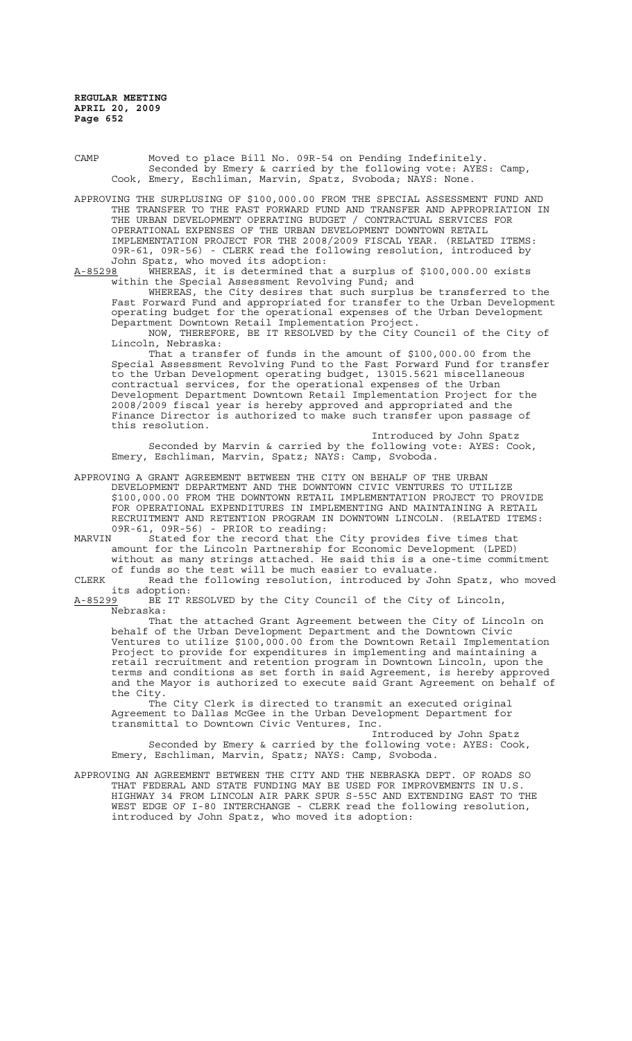CAMP Moved to place Bill No. 09R-54 on Pending Indefinitely. Seconded by Emery & carried by the following vote: AYES: Camp, Cook, Emery, Eschliman, Marvin, Spatz, Svoboda; NAYS: None.

APPROVING THE SURPLUSING OF \$100,000.00 FROM THE SPECIAL ASSESSMENT FUND AND THE TRANSFER TO THE FAST FORWARD FUND AND TRANSFER AND APPROPRIATION IN THE URBAN DEVELOPMENT OPERATING BUDGET / CONTRACTUAL SERVICES FOR OPERATIONAL EXPENSES OF THE URBAN DEVELOPMENT DOWNTOWN RETAIL IMPLEMENTATION PROJECT FOR THE 2008/2009 FISCAL YEAR. (RELATED ITEMS: 09R-61, 09R-56) - CLERK read the following resolution, introduced by John Spatz, who moved its adoption:<br>A-85298 WHEREAS, it is determined tha

whEREAS, it is determined that a surplus of \$100,000.00 exists within the Special Assessment Revolving Fund; and

WHEREAS, the City desires that such surplus be transferred to the Fast Forward Fund and appropriated for transfer to the Urban Development operating budget for the operational expenses of the Urban Development Department Downtown Retail Implementation Project.

NOW, THEREFORE, BE IT RESOLVED by the City Council of the City of Lincoln, Nebraska:

That a transfer of funds in the amount of \$100,000.00 from the Special Assessment Revolving Fund to the Fast Forward Fund for transfer to the Urban Development operating budget, 13015.5621 miscellaneous contractual services, for the operational expenses of the Urban Development Department Downtown Retail Implementation Project for the 2008/2009 fiscal year is hereby approved and appropriated and the Finance Director is authorized to make such transfer upon passage of this resolution.

Introduced by John Spatz Seconded by Marvin & carried by the following vote: AYES: Cook, Emery, Eschliman, Marvin, Spatz; NAYS: Camp, Svoboda.

APPROVING A GRANT AGREEMENT BETWEEN THE CITY ON BEHALF OF THE URBAN DEVELOPMENT DEPARTMENT AND THE DOWNTOWN CIVIC VENTURES TO UTILIZE \$100,000.00 FROM THE DOWNTOWN RETAIL IMPLEMENTATION PROJECT TO PROVIDE FOR OPERATIONAL EXPENDITURES IN IMPLEMENTING AND MAINTAINING A RETAIL RECRUITMENT AND RETENTION PROGRAM IN DOWNTOWN LINCOLN. (RELATED ITEMS: 09R-61, 09R-56) - PRIOR to reading:

MARVIN Stated for the record that the City provides five times that amount for the Lincoln Partnership for Economic Development (LPED) without as many strings attached. He said this is a one-time commitment

of funds so the test will be much easier to evaluate. CLERK Read the following resolution, introduced by John Spatz, who moved

its adoption:<br>A-85299 BE IT R BE IT RESOLVED by the City Council of the City of Lincoln, Nebraska:

That the attached Grant Agreement between the City of Lincoln on behalf of the Urban Development Department and the Downtown Civic Ventures to utilize \$100,000.00 from the Downtown Retail Implementation Project to provide for expenditures in implementing and maintaining a retail recruitment and retention program in Downtown Lincoln, upon the terms and conditions as set forth in said Agreement, is hereby approved and the Mayor is authorized to execute said Grant Agreement on behalf of the City.

The City Clerk is directed to transmit an executed original Agreement to Dallas McGee in the Urban Development Department for transmittal to Downtown Civic Ventures, Inc.

Introduced by John Spatz Seconded by Emery & carried by the following vote: AYES: Cook, Emery, Eschliman, Marvin, Spatz; NAYS: Camp, Svoboda.

APPROVING AN AGREEMENT BETWEEN THE CITY AND THE NEBRASKA DEPT. OF ROADS SO THAT FEDERAL AND STATE FUNDING MAY BE USED FOR IMPROVEMENTS IN U.S. HIGHWAY 34 FROM LINCOLN AIR PARK SPUR S-55C AND EXTENDING EAST TO THE WEST EDGE OF I-80 INTERCHANGE - CLERK read the following resolution, introduced by John Spatz, who moved its adoption: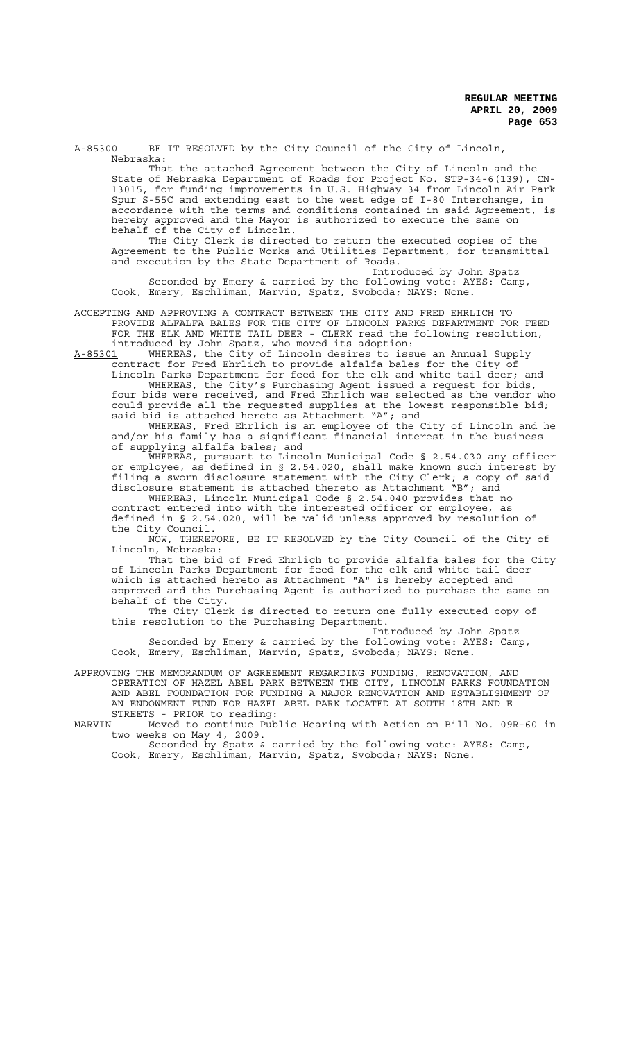A-85300 BE IT RESOLVED by the City Council of the City of Lincoln, Nebraska:

That the attached Agreement between the City of Lincoln and the State of Nebraska Department of Roads for Project No. STP-34-6(139), CN-13015, for funding improvements in U.S. Highway 34 from Lincoln Air Park Spur S-55C and extending east to the west edge of I-80 Interchange, in accordance with the terms and conditions contained in said Agreement, is hereby approved and the Mayor is authorized to execute the same on behalf of the City of Lincoln.

The City Clerk is directed to return the executed copies of the Agreement to the Public Works and Utilities Department, for transmittal and execution by the State Department of Roads.

Introduced by John Spatz Seconded by Emery & carried by the following vote: AYES: Camp, Cook, Emery, Eschliman, Marvin, Spatz, Svoboda; NAYS: None.

ACCEPTING AND APPROVING A CONTRACT BETWEEN THE CITY AND FRED EHRLICH TO PROVIDE ALFALFA BALES FOR THE CITY OF LINCOLN PARKS DEPARTMENT FOR FEED FOR THE ELK AND WHITE TAIL DEER - CLERK read the following resolution, introduced by John Spatz, who moved its adoption:

A-85301 MHEREAS, the City of Lincoln desires to issue an Annual Supply contract for Fred Ehrlich to provide alfalfa bales for the City of Lincoln Parks Department for feed for the elk and white tail deer; and WHEREAS, the City's Purchasing Agent issued a request for bids, four bids were received, and Fred Ehrlich was selected as the vendor who

could provide all the requested supplies at the lowest responsible bid; said bid is attached hereto as Attachment "A"; and WHEREAS, Fred Ehrlich is an employee of the City of Lincoln and he

and/or his family has a significant financial interest in the business of supplying alfalfa bales; and

WHEREAS, pursuant to Lincoln Municipal Code § 2.54.030 any officer or employee, as defined in § 2.54.020, shall make known such interest by filing a sworn disclosure statement with the City Clerk; a copy of said disclosure statement is attached thereto as Attachment "B"; and WHEREAS, Lincoln Municipal Code § 2.54.040 provides that no

contract entered into with the interested officer or employee, as defined in § 2.54.020, will be valid unless approved by resolution of the City Council.

NOW, THEREFORE, BE IT RESOLVED by the City Council of the City of Lincoln, Nebraska:

That the bid of Fred Ehrlich to provide alfalfa bales for the City of Lincoln Parks Department for feed for the elk and white tail deer which is attached hereto as Attachment "A" is hereby accepted and approved and the Purchasing Agent is authorized to purchase the same on behalf of the City.

The City Clerk is directed to return one fully executed copy of this resolution to the Purchasing Department.

Introduced by John Spatz Seconded by Emery & carried by the following vote: AYES: Camp, Cook, Emery, Eschliman, Marvin, Spatz, Svoboda; NAYS: None.

APPROVING THE MEMORANDUM OF AGREEMENT REGARDING FUNDING, RENOVATION, OPERATION OF HAZEL ABEL PARK BETWEEN THE CITY, LINCOLN PARKS FOUNDATION AND ABEL FOUNDATION FOR FUNDING A MAJOR RENOVATION AND ESTABLISHMENT OF AN ENDOWMENT FUND FOR HAZEL ABEL PARK LOCATED AT SOUTH 18TH AND E STREETS - PRIOR to reading:<br>MARVIN Moved to continue Pub

Moved to continue Public Hearing with Action on Bill No. 09R-60 in two weeks on May 4, 2009.

Seconded by Spatz & carried by the following vote: AYES: Camp, Cook, Emery, Eschliman, Marvin, Spatz, Svoboda; NAYS: None.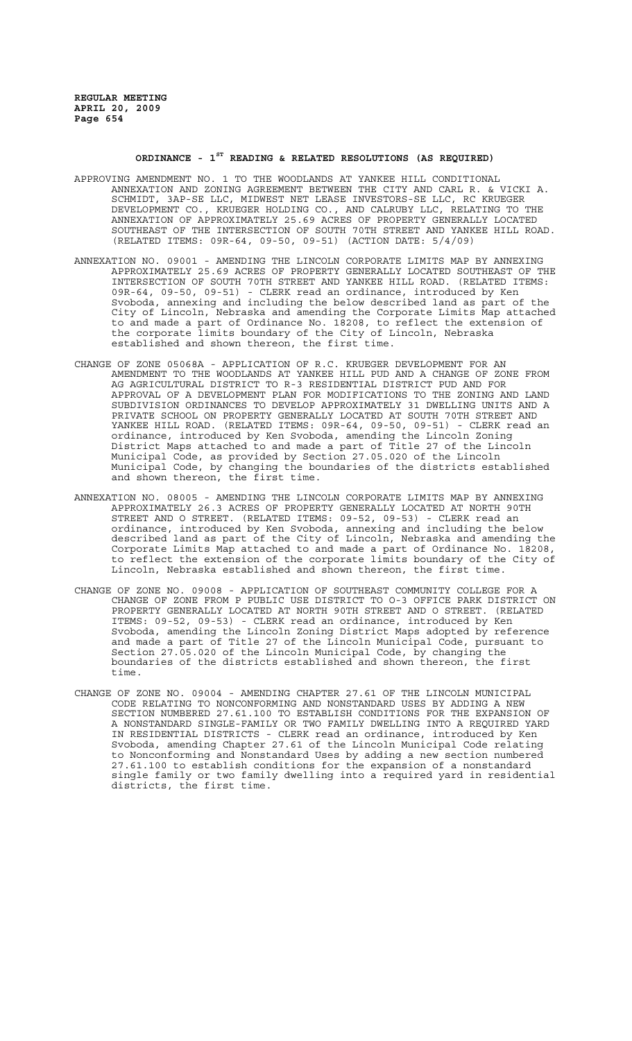## **ORDINANCE - 1ST READING & RELATED RESOLUTIONS (AS REQUIRED)**

- APPROVING AMENDMENT NO. 1 TO THE WOODLANDS AT YANKEE HILL CONDITIONAL ANNEXATION AND ZONING AGREEMENT BETWEEN THE CITY AND CARL R. & VICKI A. SCHMIDT, 3AP-SE LLC, MIDWEST NET LEASE INVESTORS-SE LLC, RC KRUEGER DEVELOPMENT CO., KRUEGER HOLDING CO., AND CALRUBY LLC, RELATING TO THE ANNEXATION OF APPROXIMATELY 25.69 ACRES OF PROPERTY GENERALLY LOCATED SOUTHEAST OF THE INTERSECTION OF SOUTH 70TH STREET AND YANKEE HILL ROAD. (RELATED ITEMS: 09R-64, 09-50, 09-51) (ACTION DATE: 5/4/09)
- ANNEXATION NO. 09001 AMENDING THE LINCOLN CORPORATE LIMITS MAP BY ANNEXING APPROXIMATELY 25.69 ACRES OF PROPERTY GENERALLY LOCATED SOUTHEAST OF THE INTERSECTION OF SOUTH 70TH STREET AND YANKEE HILL ROAD. (RELATED ITEMS: 09R-64, 09-50, 09-51) - CLERK read an ordinance, introduced by Ken Svoboda, annexing and including the below described land as part of the City of Lincoln, Nebraska and amending the Corporate Limits Map attached to and made a part of Ordinance No. 18208, to reflect the extension of the corporate limits boundary of the City of Lincoln, Nebraska established and shown thereon, the first time.
- CHANGE OF ZONE 05068A APPLICATION OF R.C. KRUEGER DEVELOPMENT FOR AN AMENDMENT TO THE WOODLANDS AT YANKEE HILL PUD AND A CHANGE OF ZONE FROM AG AGRICULTURAL DISTRICT TO R-3 RESIDENTIAL DISTRICT PUD AND FOR APPROVAL OF A DEVELOPMENT PLAN FOR MODIFICATIONS TO THE ZONING AND LAND SUBDIVISION ORDINANCES TO DEVELOP APPROXIMATELY 31 DWELLING UNITS AND A PRIVATE SCHOOL ON PROPERTY GENERALLY LOCATED AT SOUTH 70TH STREET AND YANKEE HILL ROAD. (RELATED ITEMS: 09R-64, 09-50, 09-51) - CLERK read an ordinance, introduced by Ken Svoboda, amending the Lincoln Zoning District Maps attached to and made a part of Title 27 of the Lincoln Municipal Code, as provided by Section 27.05.020 of the Lincoln Municipal Code, by changing the boundaries of the districts established and shown thereon, the first time.
- ANNEXATION NO. 08005 AMENDING THE LINCOLN CORPORATE LIMITS MAP BY ANNEXING APPROXIMATELY 26.3 ACRES OF PROPERTY GENERALLY LOCATED AT NORTH 90TH STREET AND O STREET. (RELATED ITEMS: 09-52, 09-53) - CLERK read an ordinance, introduced by Ken Svoboda, annexing and including the below described land as part of the City of Lincoln, Nebraska and amending the Corporate Limits Map attached to and made a part of Ordinance No. 18208, to reflect the extension of the corporate limits boundary of the City of Lincoln, Nebraska established and shown thereon, the first time.
- CHANGE OF ZONE NO. 09008 APPLICATION OF SOUTHEAST COMMUNITY COLLEGE FOR A CHANGE OF ZONE FROM P PUBLIC USE DISTRICT TO O-3 OFFICE PARK DISTRICT ON PROPERTY GENERALLY LOCATED AT NORTH 90TH STREET AND O STREET. (RELATED ITEMS: 09-52, 09-53) - CLERK read an ordinance, introduced by Ken Svoboda, amending the Lincoln Zoning District Maps adopted by reference and made a part of Title 27 of the Lincoln Municipal Code, pursuant to Section 27.05.020 of the Lincoln Municipal Code, by changing the boundaries of the districts established and shown thereon, the first time.
- CHANGE OF ZONE NO. 09004 AMENDING CHAPTER 27.61 OF THE LINCOLN MUNICIPAL CODE RELATING TO NONCONFORMING AND NONSTANDARD USES BY ADDING A NEW SECTION NUMBERED 27.61.100 TO ESTABLISH CONDITIONS FOR THE EXPANSION OF A NONSTANDARD SINGLE-FAMILY OR TWO FAMILY DWELLING INTO A REQUIRED YARD IN RESIDENTIAL DISTRICTS - CLERK read an ordinance, introduced by Ken Svoboda, amending Chapter 27.61 of the Lincoln Municipal Code relating to Nonconforming and Nonstandard Uses by adding a new section numbered 27.61.100 to establish conditions for the expansion of a nonstandard single family or two family dwelling into a required yard in residential districts, the first time.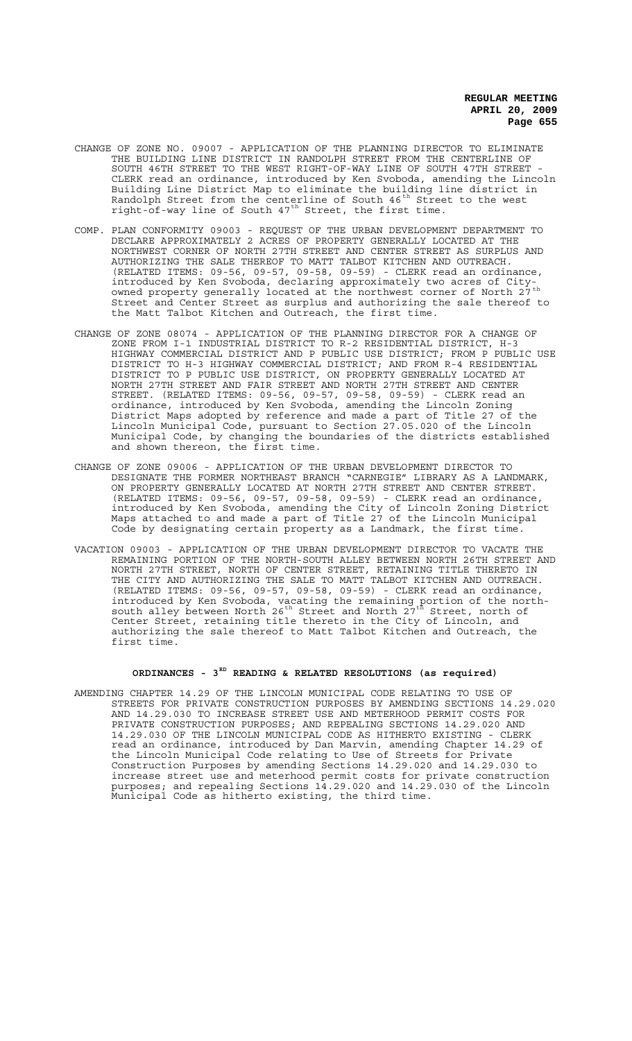- CHANGE OF ZONE NO. 09007 APPLICATION OF THE PLANNING DIRECTOR TO ELIMINATE THE BUILDING LINE DISTRICT IN RANDOLPH STREET FROM THE CENTERLINE OF SOUTH 46TH STREET TO THE WEST RIGHT-OF-WAY LINE OF SOUTH 47TH STREET - CLERK read an ordinance, introduced by Ken Svoboda, amending the Lincoln Building Line District Map to eliminate the building line district in Randolph Street from the centerline of South 46<sup>th</sup> Street to the west right-of-way line of South  $47^{\text{th}}$  Street, the first time.
- COMP. PLAN CONFORMITY 09003 REQUEST OF THE URBAN DEVELOPMENT DEPARTMENT TO DECLARE APPROXIMATELY 2 ACRES OF PROPERTY GENERALLY LOCATED AT THE NORTHWEST CORNER OF NORTH 27TH STREET AND CENTER STREET AS SURPLUS AND AUTHORIZING THE SALE THEREOF TO MATT TALBOT KITCHEN AND OUTREACH. (RELATED ITEMS: 09-56, 09-57, 09-58, 09-59) - CLERK read an ordinance, introduced by Ken Svoboda, declaring approximately two acres of Cityowned property generally located at the northwest corner of North 27<sup>th</sup> Street and Center Street as surplus and authorizing the sale thereof to the Matt Talbot Kitchen and Outreach, the first time.
- CHANGE OF ZONE 08074 APPLICATION OF THE PLANNING DIRECTOR FOR A CHANGE OF ZONE FROM I-1 INDUSTRIAL DISTRICT TO R-2 RESIDENTIAL DISTRICT, H-3 HIGHWAY COMMERCIAL DISTRICT AND P PUBLIC USE DISTRICT; FROM P PUBLIC USE DISTRICT TO H-3 HIGHWAY COMMERCIAL DISTRICT; AND FROM R-4 RESIDENTIAL DISTRICT TO P PUBLIC USE DISTRICT, ON PROPERTY GENERALLY LOCATED AT NORTH 27TH STREET AND FAIR STREET AND NORTH 27TH STREET AND CENTER STREET. (RELATED ITEMS: 09-56, 09-57, 09-58, 09-59) - CLERK read an ordinance, introduced by Ken Svoboda, amending the Lincoln Zoning District Maps adopted by reference and made a part of Title 27 of the Lincoln Municipal Code, pursuant to Section 27.05.020 of the Lincoln Municipal Code, by changing the boundaries of the districts established and shown thereon, the first time.
- CHANGE OF ZONE 09006 APPLICATION OF THE URBAN DEVELOPMENT DIRECTOR TO DESIGNATE THE FORMER NORTHEAST BRANCH "CARNEGIE" LIBRARY AS A LANDMARK, ON PROPERTY GENERALLY LOCATED AT NORTH 27TH STREET AND CENTER STREET. (RELATED ITEMS: 09-56, 09-57, 09-58, 09-59) - CLERK read an ordinance, introduced by Ken Svoboda, amending the City of Lincoln Zoning District Maps attached to and made a part of Title 27 of the Lincoln Municipal Code by designating certain property as a Landmark, the first time.
- VACATION 09003 APPLICATION OF THE URBAN DEVELOPMENT DIRECTOR TO VACATE THE REMAINING PORTION OF THE NORTH-SOUTH ALLEY BETWEEN NORTH 26TH STREET AND NORTH 27TH STREET, NORTH OF CENTER STREET, RETAINING TITLE THERETO IN THE CITY AND AUTHORIZING THE SALE TO MATT TALBOT KITCHEN AND OUTREACH. (RELATED ITEMS: 09-56, 09-57, 09-58, 09-59) - CLERK read an ordinance, introduced by Ken Svoboda, vacating the remaining portion of the northsouth alley  $\stackrel{\text{\scriptsize{\textsf{b}}}}{\text{\scriptsize{\textsf{b}}} }$  the Street and North  $27^{\text{\scriptsize{\textsf{th}}}}$  Street, north of Center Street, retaining title thereto in the City of Lincoln, and authorizing the sale thereof to Matt Talbot Kitchen and Outreach, the first time.

# **ORDINANCES - 3RD READING & RELATED RESOLUTIONS (as required)**

AMENDING CHAPTER 14.29 OF THE LINCOLN MUNICIPAL CODE RELATING TO USE OF STREETS FOR PRIVATE CONSTRUCTION PURPOSES BY AMENDING SECTIONS 14.29.020 AND 14.29.030 TO INCREASE STREET USE AND METERHOOD PERMIT COSTS FOR PRIVATE CONSTRUCTION PURPOSES; AND REPEALING SECTIONS 14.29.020 AND 14.29.030 OF THE LINCOLN MUNICIPAL CODE AS HITHERTO EXISTING - CLERK read an ordinance, introduced by Dan Marvin, amending Chapter 14.29 of the Lincoln Municipal Code relating to Use of Streets for Private Construction Purposes by amending Sections 14.29.020 and 14.29.030 to increase street use and meterhood permit costs for private construction purposes; and repealing Sections 14.29.020 and 14.29.030 of the Lincoln Municipal Code as hitherto existing, the third time.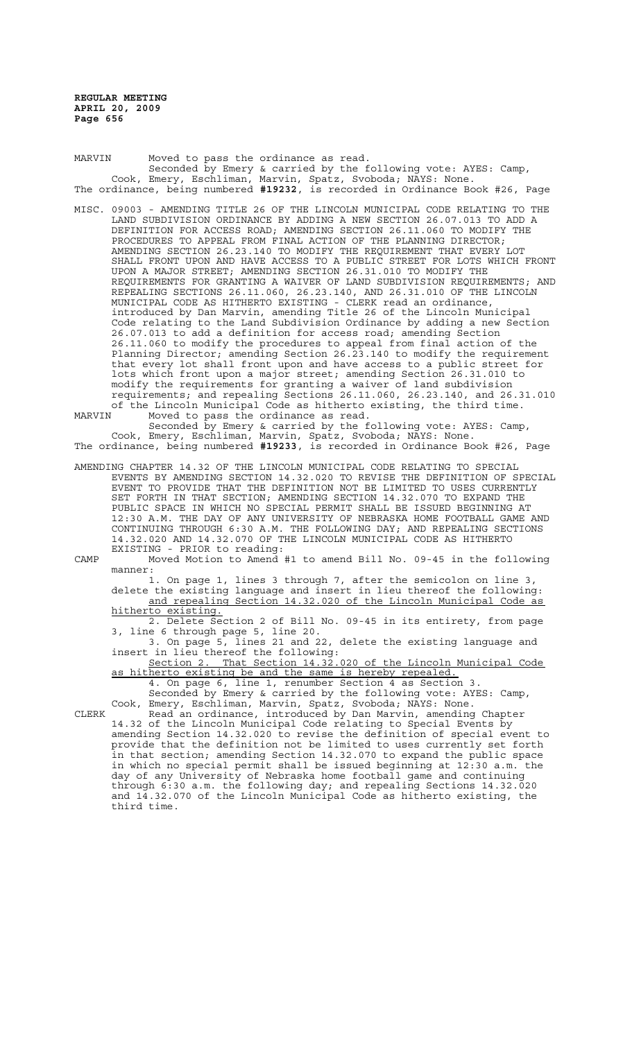MARVIN Moved to pass the ordinance as read. Seconded by Emery & carried by the following vote: AYES: Camp, Cook, Emery, Eschliman, Marvin, Spatz, Svoboda; NAYS: None. The ordinance, being numbered **#19232**, is recorded in Ordinance Book #26, Page

MISC. 09003 - AMENDING TITLE 26 OF THE LINCOLN MUNICIPAL CODE RELATING TO THE LAND SUBDIVISION ORDINANCE BY ADDING A NEW SECTION 26.07.013 TO ADD A DEFINITION FOR ACCESS ROAD; AMENDING SECTION 26.11.060 TO MODIFY THE PROCEDURES TO APPEAL FROM FINAL ACTION OF THE PLANNING DIRECTOR; AMENDING SECTION 26.23.140 TO MODIFY THE REQUIREMENT THAT EVERY LOT SHALL FRONT UPON AND HAVE ACCESS TO A PUBLIC STREET FOR LOTS WHICH FRONT UPON A MAJOR STREET; AMENDING SECTION 26.31.010 TO MODIFY THE REQUIREMENTS FOR GRANTING A WAIVER OF LAND SUBDIVISION REQUIREMENTS; AND REPEALING SECTIONS 26.11.060, 26.23.140, AND 26.31.010 OF THE LINCOLN MUNICIPAL CODE AS HITHERTO EXISTING - CLERK read an ordinance, introduced by Dan Marvin, amending Title 26 of the Lincoln Municipal Code relating to the Land Subdivision Ordinance by adding a new Section 26.07.013 to add a definition for access road; amending Section 26.11.060 to modify the procedures to appeal from final action of the Planning Director; amending Section 26.23.140 to modify the requirement that every lot shall front upon and have access to a public street for lots which front upon a major street; amending Section 26.31.010 to modify the requirements for granting a waiver of land subdivision requirements; and repealing Sections 26.11.060, 26.23.140, and 26.31.010 of the Lincoln Municipal Code as hitherto existing, the third time.<br>MARVIN Moved to pass the ordinance as read Moved to pass the ordinance as read.

Seconded by Emery & carried by the following vote: AYES: Camp, Cook, Emery, Eschliman, Marvin, Spatz, Svoboda; NAYS: None. The ordinance, being numbered **#19233**, is recorded in Ordinance Book #26, Page

AMENDING CHAPTER 14.32 OF THE LINCOLN MUNICIPAL CODE RELATING TO SPECIAL EVENTS BY AMENDING SECTION 14.32.020 TO REVISE THE DEFINITION OF SPECIAL EVENT TO PROVIDE THAT THE DEFINITION NOT BE LIMITED TO USES CURRENTLY SET FORTH IN THAT SECTION; AMENDING SECTION 14.32.070 TO EXPAND THE PUBLIC SPACE IN WHICH NO SPECIAL PERMIT SHALL BE ISSUED BEGINNING AT 12:30 A.M. THE DAY OF ANY UNIVERSITY OF NEBRASKA HOME FOOTBALL GAME AND CONTINUING THROUGH 6:30 A.M. THE FOLLOWING DAY; AND REPEALING SECTIONS 14.32.020 AND 14.32.070 OF THE LINCOLN MUNICIPAL CODE AS HITHERTO EXISTING - PRIOR to reading:

CAMP Moved Motion to Amend #1 to amend Bill No. 09-45 in the following manner:

1. On page 1, lines 3 through 7, after the semicolon on line 3, delete the existing language and insert in lieu thereof the following: and repealing Section 14.32.020 of the Lincoln Municipal Code as hitherto existing.

2. Delete Section 2 of Bill No. 09-45 in its entirety, from page 3, line 6 through page 5, line 20.

3. On page 5, lines 21 and 22, delete the existing language and insert in lieu thereof the following:

Section 2. That Section 14.32.020 of the Lincoln Municipal Code as hitherto existing be and the same is hereby repealed. 4. On page 6, line 1, renumber Section 4 as Section 3.

Seconded by Emery & carried by the following vote: AYES: Camp, Cook, Emery, Eschliman, Marvin, Spatz, Svoboda; NAYS: None.

CLERK Read an ordinance, introduced by Dan Marvin, amending Chapter 14.32 of the Lincoln Municipal Code relating to Special Events by amending Section 14.32.020 to revise the definition of special event to provide that the definition not be limited to uses currently set forth in that section; amending Section 14.32.070 to expand the public space in which no special permit shall be issued beginning at 12:30 a.m. the day of any University of Nebraska home football game and continuing through 6:30 a.m. the following day; and repealing Sections 14.32.020 and 14.32.070 of the Lincoln Municipal Code as hitherto existing, the third time.